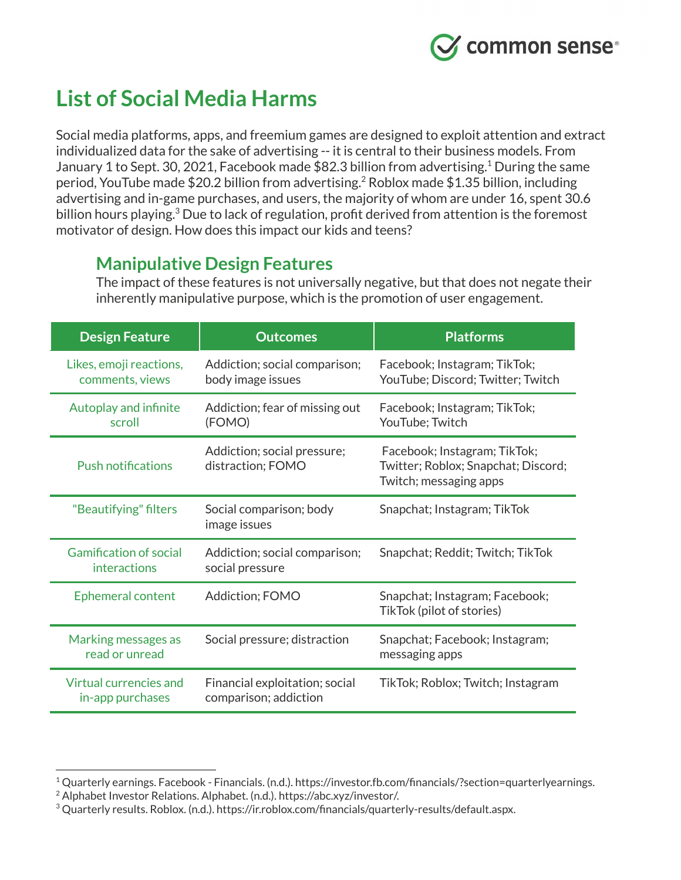

# **List of Social Media Harms**

Social media platforms, apps, and freemium games are designed to exploit attention and extract individualized data for the sake of advertising -- it is central to their business models. From January 1 to Sept. 30, 2021, Facebook made  $$82.3$  billion from advertising.<sup>1</sup> During the same period, YouTube made \$20.2 billion from advertising.<sup>2</sup> Roblox made \$1.35 billion, including advertising and in-game purchases, and users, the majority of whom are under 16, spent 30.6 billion hours playing. $3$  Due to lack of regulation, profit derived from attention is the foremost motivator of design. How does this impact our kids and teens?

# **Manipulative Design Features**

The impact of these features is not universally negative, but that does not negate their inherently manipulative purpose, which is the promotion of user engagement.

| <b>Design Feature</b>                         | <b>Outcomes</b>                                         | <b>Platforms</b>                                                                              |
|-----------------------------------------------|---------------------------------------------------------|-----------------------------------------------------------------------------------------------|
| Likes, emoji reactions,<br>comments, views    | Addiction; social comparison;<br>body image issues      | Facebook; Instagram; TikTok;<br>YouTube; Discord; Twitter; Twitch                             |
| <b>Autoplay and infinite</b><br>scroll        | Addiction; fear of missing out<br>(FOMO)                | Facebook; Instagram; TikTok;<br>YouTube; Twitch                                               |
| <b>Push notifications</b>                     | Addiction; social pressure;<br>distraction; FOMO        | Facebook; Instagram; TikTok;<br>Twitter; Roblox; Snapchat; Discord;<br>Twitch; messaging apps |
| "Beautifying" filters                         | Social comparison; body<br>image issues                 | Snapchat; Instagram; TikTok                                                                   |
| <b>Gamification of social</b><br>interactions | Addiction; social comparison;<br>social pressure        | Snapchat; Reddit; Twitch; TikTok                                                              |
| Ephemeral content                             | Addiction; FOMO                                         | Snapchat; Instagram; Facebook;<br>TikTok (pilot of stories)                                   |
| Marking messages as<br>read or unread         | Social pressure; distraction                            | Snapchat; Facebook; Instagram;<br>messaging apps                                              |
| Virtual currencies and<br>in-app purchases    | Financial exploitation; social<br>comparison; addiction | TikTok; Roblox; Twitch; Instagram                                                             |

<sup>&</sup>lt;sup>1</sup> Quarterly earnings. Facebook - Financials. (n.d.). https://investor.fb.com/financials/?section=quarterlyearnings.

<sup>&</sup>lt;sup>2</sup> Alphabet Investor Relations. Alphabet. (n.d.). https://abc.xyz/investor/.

<sup>3</sup> Quarterly results. Roblox. (n.d.). https://ir.roblox.com/financials/quarterly-results/default.aspx.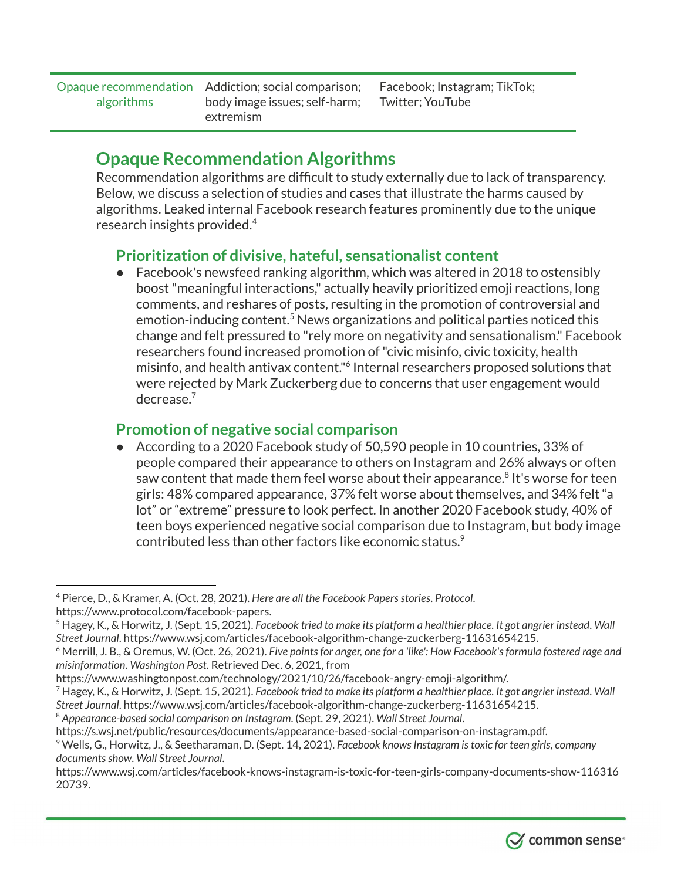Opaque recommendation Addiction; social comparison; algorithms

body image issues; self-harm; extremism

Facebook; Instagram; TikTok; Twitter; YouTube

## **Opaque Recommendation Algorithms**

Recommendation algorithms are difficult to study externally due to lack of transparency. Below, we discuss a selection of studies and cases that illustrate the harms caused by algorithms. Leaked internal Facebook research features prominently due to the unique research insights provided. 4

#### **Prioritization of divisive, hateful, sensationalist content**

Facebook's newsfeed ranking algorithm, which was altered in 2018 to ostensibly boost"meaningful interactions," actually heavily prioritized emoji reactions, long comments, and reshares of posts, resulting in the promotion of controversial and  $emotion$ -inducing content. $5$  News organizations and political parties noticed this change and felt pressured to "rely more on negativity and sensationalism." Facebook researchers found increased promotion of"civic misinfo, civic toxicity, health misinfo, and health antivax content."<sup>6</sup> Internal researchers proposed solutions that were rejected by Mark Zuckerberg due to concerns that user engagement would decrease. 7

## **Promotion of negative social comparison**

According to a 2020 Facebook study of 50,590 people in 10 countries, 33% of people compared their appearance to others on Instagram and 26% always or often saw content that made them feel worse about their appearance. $^8$  It's worse for teen girls: 48% compared appearance, 37% felt worse about themselves, and 34% felt "a lot" or "extreme" pressure to look perfect. In another 2020 Facebook study, 40% of teen boys experienced negative social comparison due to Instagram, but body image contributed less than other factors like economic status. 9

https://www.wsj.com/articles/facebook-knows-instagram-is-toxic-for-teen-girls-company-documents-show-116316 20739.



<sup>4</sup> Pierce, D., & Kramer, A. (Oct. 28, 2021). *Here are all the Facebook Papersstories*. *Protocol*. https://www.protocol.com/facebook-papers.

 $5$  Hagey, K., & Horwitz, J. (Sept. 15, 2021). Facebook tried to make its platform a healthier place. It got angrier instead. Wall *Street Journal*. https://www.wsj.com/articles/facebook-algorithm-change-zuckerberg-11631654215.

<sup>6</sup> Merrill, J. B., & Oremus, W. (Oct. 26, 2021). *Five pointsfor anger, one for a 'like': How Facebook'sformula fostered rage and misinformation*. *Washington Post*. Retrieved Dec. 6, 2021, from

https://www.washingtonpost.com/technology/2021/10/26/facebook-angry-emoji-algorithm/.

<sup>&</sup>lt;sup>7</sup> Hagey, K., & Horwitz, J. (Sept. 15, 2021). Facebook tried to make its platform a healthier place. It got angrier instead. Wall *Street Journal*. https://www.wsj.com/articles/facebook-algorithm-change-zuckerberg-11631654215.

<sup>8</sup> *Appearance-based social comparison on Instagram*. (Sept. 29, 2021). *Wall Street Journal*.

https://s.wsj.net/public/resources/documents/appearance-based-social-comparison-on-instagram.pdf.

<sup>9</sup> Wells, G., Horwitz, J., & Seetharaman, D. (Sept. 14, 2021). *Facebook knowsInstagram istoxic for teen girls, company documentsshow*. *Wall Street Journal*.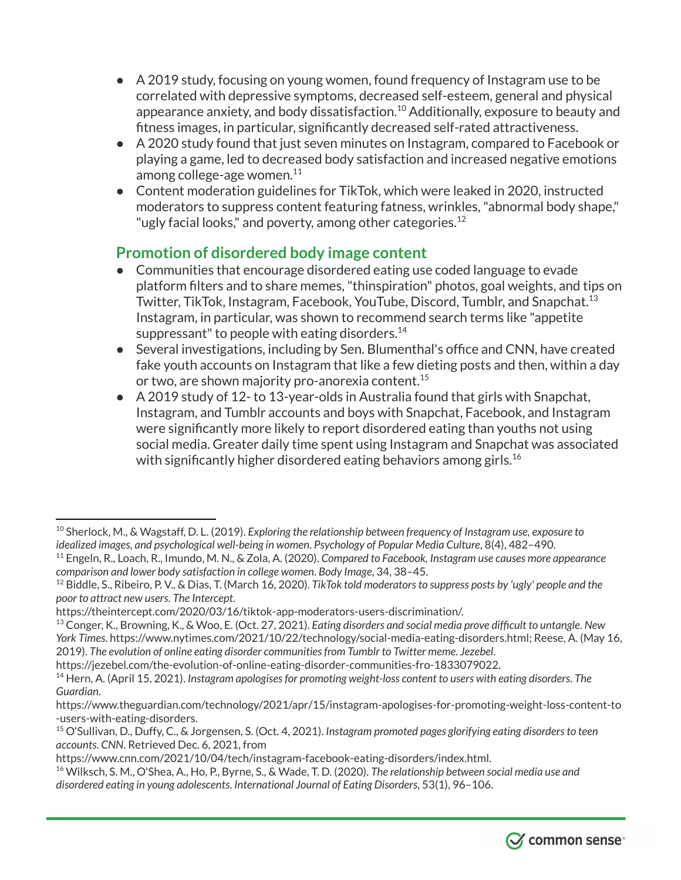- A 2019 study, focusing on young women, found frequency of Instagram use to be correlated with depressive symptoms, decreased self-esteem, general and physical appearance anxiety, and body dissatisfaction. $^{10}$  Additionally, exposure to beauty and fitness images, in particular, significantly decreased self-rated attractiveness.
- A 2020 study found that just seven minutes on Instagram, compared to Facebook or playing a game, led to decreased body satisfaction and increased negative emotions among college-age women. 11
- Content moderation guidelines for TikTok, which were leaked in 2020, instructed moderators to suppress content featuring fatness, wrinkles,"abnormal body shape," "ugly facial looks," and poverty, among other categories.<sup>12</sup>

### **Promotion of disordered body image content**

- Communities that encourage disordered eating use coded language to evade platform filters and to share memes,"thinspiration" photos, goal weights, and tips on Twitter, TikTok, Instagram, Facebook, YouTube, Discord, Tumblr, and Snapchat. 13 Instagram, in particular, was shown to recommend search terms like "appetite suppressant" to people with eating disorders. $^{14}$
- Several investigations, including by Sen. Blumenthal's office and CNN, have created fake youth accounts on Instagram that like a few dieting posts and then, within a day or two, are shown majority pro-anorexia content. 15
- A 2019 study of 12- to 13-year-olds in Australia found that girls with Snapchat, Instagram, and Tumblr accounts and boys with Snapchat, Facebook, and Instagram were significantly more likely to report disordered eating than youths not using social media. Greater daily time spent using Instagram and Snapchat was associated with significantly higher disordered eating behaviors among girls. 16

<sup>16</sup> Wilksch, S. M., O'Shea, A., Ho, P., Byrne, S., & Wade, T. D. (2020). *The relationship between social media use and disordered eating in young adolescents*. *International Journal of Eating Disorders*, 53(1), 96–106.



<sup>10</sup> Sherlock, M., & Wagstaff, D. L. (2019). *Exploring the relationship between frequency of Instagram use, exposure to idealized images, and psychological well-being in women*. *Psychology of Popular Media Culture*, 8(4), 482–490.

<sup>11</sup> Engeln, R., Loach, R., Imundo, M. N., & Zola, A. (2020). *Compared to Facebook, Instagram use causes more appearance comparison and lower body satisfaction in college women*. *Body Image*, 34, 38–45.

<sup>12</sup> Biddle, S., Ribeiro, P. V., & Dias, T. (March 16, 2020). *TikTok told moderatorsto suppress posts by 'ugly' people and the poor to attract new users*. *The Intercept*.

https://theintercept.com/2020/03/16/tiktok-app-moderators-users-discrimination/.

<sup>13</sup> Conger, K., Browning, K., & Woo, E. (Oct. 27, 2021). *Eating disorders and social media prove difficult to untangle*. *New York Times*. https://www.nytimes.com/2021/10/22/technology/social-media-eating-disorders.html; Reese, A. (May 16, 2019). *The evolution of online eating disorder communitiesfrom Tumblr to Twitter meme*. *Jezebel*.

https://jezebel.com/the-evolution-of-online-eating-disorder-communities-fro-1833079022.

<sup>14</sup> Hern, A. (April 15, 2021). *Instagram apologisesfor promoting weight-loss content to users with eating disorders*. *The Guardian*.

https://www.theguardian.com/technology/2021/apr/15/instagram-apologises-for-promoting-weight-loss-content-to -users-with-eating-disorders.

<sup>15</sup> O'Sullivan, D., Duffy, C., & Jorgensen, S. (Oct. 4, 2021). *Instagram promoted pages glorifying eating disordersto teen accounts*. *CNN*. Retrieved Dec. 6, 2021, from

https://www.cnn.com/2021/10/04/tech/instagram-facebook-eating-disorders/index.html.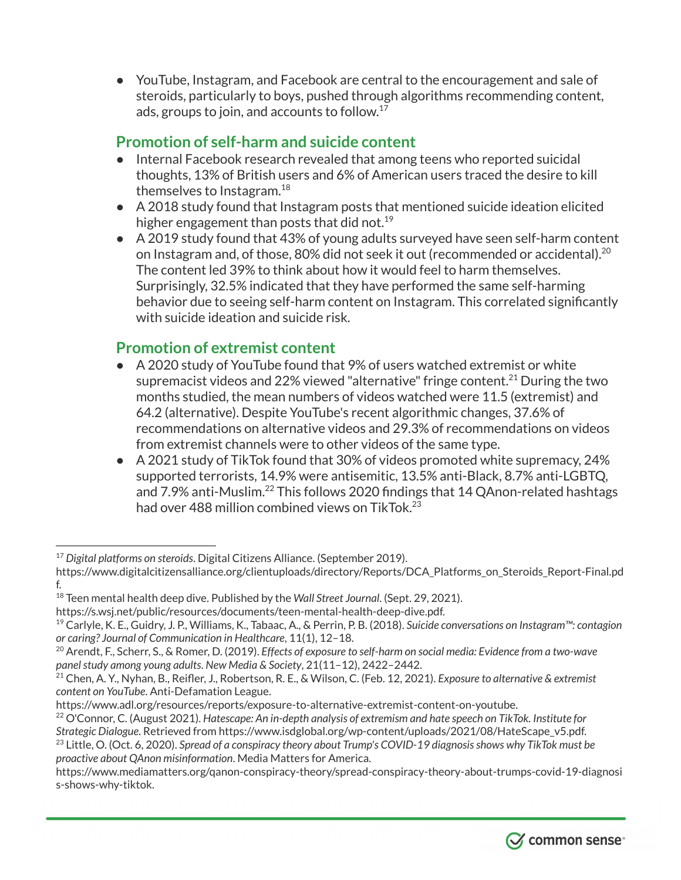● YouTube, Instagram, and Facebook are central to the encouragement and sale of steroids, particularly to boys, pushed through algorithms recommending content, ads, groups to join, and accounts to follow. $^{17}$ 

## **Promotion of self-harm and suicide content**

- Internal Facebook research revealed that among teens who reported suicidal thoughts, 13% of British users and 6% of American users traced the desire to kill themselves to Instagram. 18
- A 2018 study found that Instagram posts that mentioned suicide ideation elicited higher engagement than posts that did not. 19
- A 2019 study found that 43% of young adults surveyed have seen self-harm content on Instagram and, of those, 80% did not seek it out (recommended or accidental). $^{20}$ The content led 39% to think about how it would feel to harm themselves. Surprisingly, 32.5% indicated that they have performed the same self-harming behavior due to seeing self-harm content on Instagram. This correlated significantly with suicide ideation and suicide risk.

#### **Promotion of extremist content**

- A 2020 study of YouTube found that 9% of users watched extremist or white supremacist videos and 22% viewed "alternative" fringe content. $^{21}$  During the two months studied, the mean numbers of videos watched were 11.5 (extremist) and 64.2 (alternative). Despite YouTube's recent algorithmic changes, 37.6% of recommendations on alternative videos and 29.3% of recommendations on videos from extremist channels were to other videos of the same type.
- A 2021 study of TikTok found that 30% of videos promoted white supremacy, 24% supported terrorists, 14.9% were antisemitic, 13.5% anti-Black, 8.7% anti-LGBTQ, and 7.9% anti-Muslim. $^{22}$  This follows 2020 findings that 14 QAnon-related hashtags had over 488 million combined views on TikTok. 23

https://s.wsj.net/public/resources/documents/teen-mental-health-deep-dive.pdf.

https://www.adl.org/resources/reports/exposure-to-alternative-extremist-content-on-youtube.

<sup>23</sup> Little, O. (Oct. 6, 2020). *Spread of a conspiracy theory about Trump's COVID-19 diagnosisshows why TikTok must be proactive about QAnon misinformation*. Media Matters for America.

https://www.mediamatters.org/qanon-conspiracy-theory/spread-conspiracy-theory-about-trumps-covid-19-diagnosi s-shows-why-tiktok.



<sup>17</sup> *Digital platforms on steroids*. Digital Citizens Alliance. (September 2019).

https://www.digitalcitizensalliance.org/clientuploads/directory/Reports/DCA\_Platforms\_on\_Steroids\_Report-Final.pd f.

<sup>18</sup> Teen mental health deep dive. Published by the *Wall Street Journal*. (Sept. 29, 2021).

<sup>19</sup> Carlyle, K. E., Guidry, J. P., Williams, K., Tabaac, A., & Perrin, P. B. (2018). *Suicide conversations on Instagram™: contagion or caring? Journal of Communication in Healthcare*, 11(1), 12–18.

<sup>20</sup> Arendt, F., Scherr, S., & Romer, D. (2019). *Effects of exposure to self-harm on social media: Evidence from a two-wave panel study among young adults. New Media & Society, 21(11-12), 2422-2442.* 

<sup>21</sup> Chen, A. Y., Nyhan, B., Reifler, J., Robertson, R. E., & Wilson, C. (Feb. 12, 2021). *Exposure to alternative & extremist content on YouTube*. Anti-Defamation League.

<sup>22</sup> O'Connor, C. (August 2021). *Hatescape: An in-depth analysis of extremism and hate speech on TikTok. Institute for Strategic Dialogue*. Retrieved from https://www.isdglobal.org/wp-content/uploads/2021/08/HateScape\_v5.pdf.